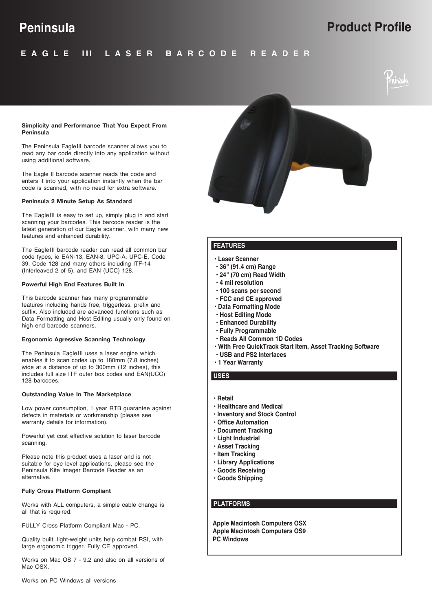# **Peninsula Product Profile**

#### **E A G L E I I L A S E R B A R C O D E R E A D E R I**

#### **Simplicity and Performance That You Expect From Peninsula**

The Peninsula Eagle III barcode scanner allows you to read any bar code directly into any application without using additional software.

The Eagle II barcode scanner reads the code and enters it into your application instantly when the bar code is scanned, with no need for extra software.

### **Peninsula 2 Minute Setup As Standard**

The Eagle III is easy to set up, simply plug in and start scanning your barcodes. This barcode reader is the latest generation of our Eagle scanner, with many new features and enhanced durability.

The Eagle III barcode reader can read all common bar code types, ie EAN-13, EAN-8, UPC-A, UPC-E, Code 39, Code 128 and many others including ITF-14 (Interleaved 2 of 5), and EAN (UCC) 128.

#### **Powerful High End Features Built In**

This barcode scanner has many programmable features including hands free, triggerless, prefix and suffix. Also included are advanced functions such as Data Formatting and Host Editing usually only found on high end barcode scanners.

#### **Ergonomic Agressive Scanning Technology**

The Peninsula Eagle III uses a laser engine which enables it to scan codes up to 180mm (7.8 inches) wide at a distance of up to 300mm (12 inches), this includes full size ITF outer box codes and EAN(UCC) 128 barcodes.

#### **Outstanding Value In The Marketplace**

Low power consumption, 1 year RTB guarantee against defects in materials or workmanship (please see warranty details for information).

Powerful yet cost effective solution to laser barcode scanning.

Please note this product uses a laser and is not suitable for eye level applications, please see the Peninsula Kite Imager Barcode Reader as an alternative.

#### **Fully Cross Platform Compliant**

Works with ALL computers, a simple cable change is all that is required.

FULLY Cross Platform Compliant Mac - PC.

Quality built, light-weight units help combat RSI, with large ergonomic trigger. Fully CE approved.

Works on Mac OS 7 - 9.2 and also on all versions of Mac OSX



# **FEATURES**

- **Laser Scanner**
- **36" (91.4 cm) Range**
- **24" (70 cm) Read Width**
- **4 mil resolution**
- **100 scans per second**
- **FCC and CE approved**
- **Data Formatting Mode**
- **Host Editing Mode**
- **Enhanced Durability**
- **Fully Programmable**
- **Reads All Common 1D Codes**
- **With Free QuickTrack Start Item, Asset Tracking Software**
- **USB and PS2 Interfaces 1 Year Warranty**
- 
- 

**USES**

- **Retail Healthcare and Medical**
- **Inventory and Stock Control**
- **Office Automation**
- **Document Tracking**
- **Light Industrial**
- **Asset Tracking**
- **Item Tracking**
- **Library Applications**
- **Goods Receiving**
- 
- **Goods Shipping**

# **PLATFORMS**

**Apple Macintosh Computers OSX Apple Macintosh Computers OS9 PC Windows**

Works on PC Windows all versions